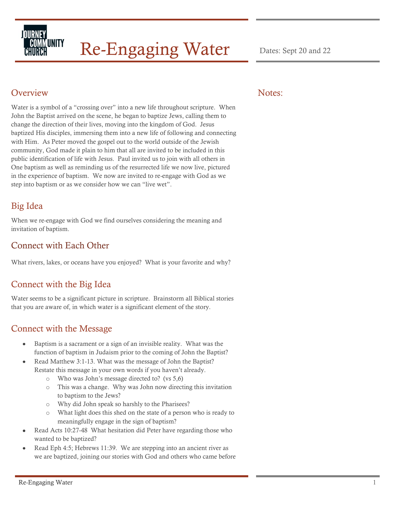

# Re-Engaging Water Dates: Sept 20 and 22

#### **Overview**

Water is a symbol of a "crossing over" into a new life throughout scripture. When John the Baptist arrived on the scene, he began to baptize Jews, calling them to change the direction of their lives, moving into the kingdom of God. Jesus baptized His disciples, immersing them into a new life of following and connecting with Him. As Peter moved the gospel out to the world outside of the Jewish community, God made it plain to him that all are invited to be included in this public identification of life with Jesus. Paul invited us to join with all others in One baptism as well as reminding us of the resurrected life we now live, pictured in the experience of baptism. We now are invited to re-engage with God as we step into baptism or as we consider how we can "live wet".

## Big Idea

When we re-engage with God we find ourselves considering the meaning and invitation of baptism.

#### Connect with Each Other

What rivers, lakes, or oceans have you enjoyed? What is your favorite and why?

#### Connect with the Big Idea

Water seems to be a significant picture in scripture. Brainstorm all Biblical stories that you are aware of, in which water is a significant element of the story.

#### Connect with the Message

- Baptism is a sacrament or a sign of an invisible reality. What was the function of baptism in Judaism prior to the coming of John the Baptist?
- Read Matthew 3:1-13. What was the message of John the Baptist? Restate this message in your own words if you haven't already.
	- o Who was John's message directed to? (vs 5,6)
	- o This was a change. Why was John now directing this invitation to baptism to the Jews?
	- o Why did John speak so harshly to the Pharisees?
	- o What light does this shed on the state of a person who is ready to meaningfully engage in the sign of baptism?
- Read Acts 10:27-48 What hesitation did Peter have regarding those who wanted to be baptized?
- Read Eph 4:5; Hebrews 11:39. We are stepping into an ancient river as we are baptized, joining our stories with God and others who came before

#### Notes: